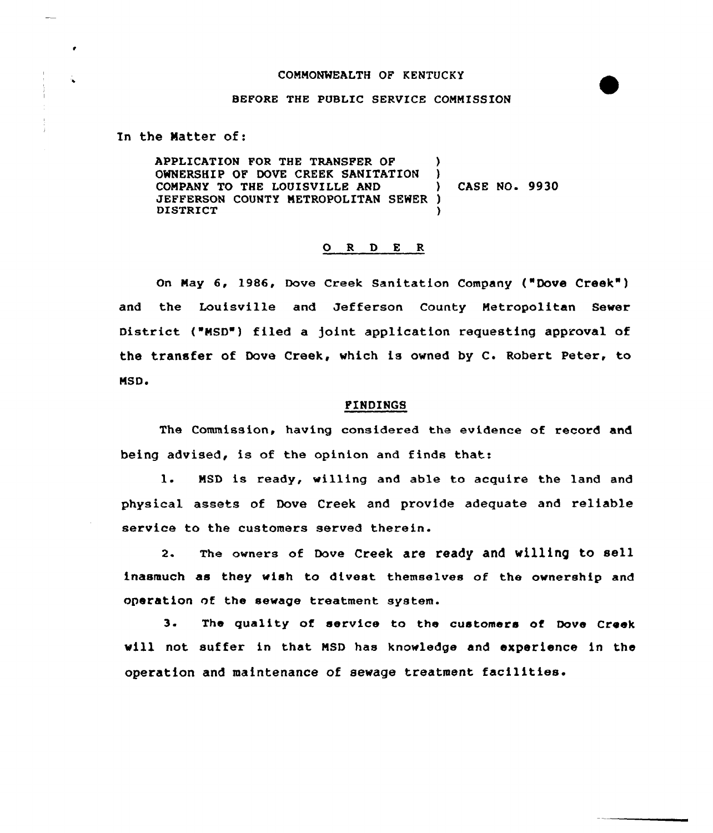## COMMONWEALTH OF KENTUCKY

# BEFORE THE PUBLIC SERVICE COMMISSION

In the Natter of:

 $\qquad \qquad -\qquad$ 

APPLICATION FOR THE TRANSFER OF OWNERSHIP OF DOVE CREEK SANITATION )<br>COMPANY TO THE LOUISVILLE AND COMPANY TO THE LOUISVILLE AND ) CASE NO. 9930 JEFFERSON COUNTY METROPOLITAN SEWER )<br>DISTRICT **DISTRICT** 

## O R D E R

on May 6, 1986, Dove creek sanitation company ("Dove creek") and the Louisville and Jefferson County Metropolitan Sewer District ("MSD") filed a joint application requesting approval of the transfer of Dove Creek, which is owned by C. Robert Peter, to MSD.<br>Explores the state of the state of the state of the state of the state of the state of the state of the state<br>In the state of the state of the state of the state of the state of the state of the state of the state of

The Commission, having considered the evidence of record and being advised, is of the opinion and finds that:

1. MSD is ready, willing and able to acquire the land and physical assets of Dove Creek and provide adequate and reliable service to the customers served therein.

2. The owners of Dove Creek are ready and willing to sell inasmuch as they wish to divest themselves of the ownership and operation nf the sewage treatment system.

3. The quality of service to the customers of Dove Creek will not suffer in that MSD has knowledge and experience in the operation and maintenance of sewage treatment facilities.